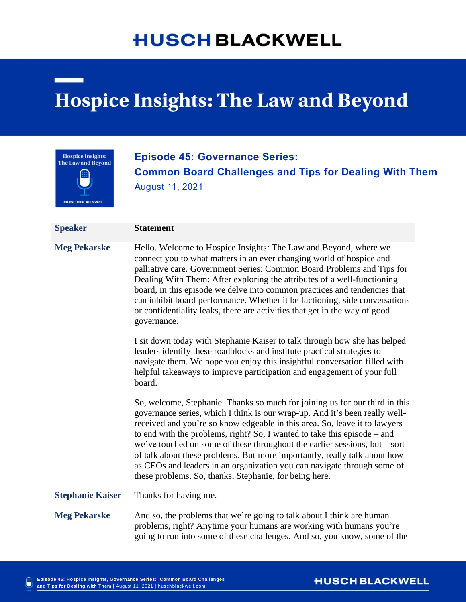# **HUSCH BLACKWELL**

# **Hospice Insights: The Law and Beyond**



# **Episode 45: Governance Series: Common Board Challenges and Tips for Dealing With Them** August 11, 2021

| <b>Speaker</b>          | <b>Statement</b>                                                                                                                                                                                                                                                                                                                                                                                                                                                                                                                                                                                                       |
|-------------------------|------------------------------------------------------------------------------------------------------------------------------------------------------------------------------------------------------------------------------------------------------------------------------------------------------------------------------------------------------------------------------------------------------------------------------------------------------------------------------------------------------------------------------------------------------------------------------------------------------------------------|
| <b>Meg Pekarske</b>     | Hello. Welcome to Hospice Insights: The Law and Beyond, where we<br>connect you to what matters in an ever changing world of hospice and<br>palliative care. Government Series: Common Board Problems and Tips for<br>Dealing With Them: After exploring the attributes of a well-functioning<br>board, in this episode we delve into common practices and tendencies that<br>can inhibit board performance. Whether it be factioning, side conversations<br>or confidentiality leaks, there are activities that get in the way of good<br>governance.                                                                 |
|                         | I sit down today with Stephanie Kaiser to talk through how she has helped<br>leaders identify these roadblocks and institute practical strategies to<br>navigate them. We hope you enjoy this insightful conversation filled with<br>helpful takeaways to improve participation and engagement of your full<br>board.                                                                                                                                                                                                                                                                                                  |
|                         | So, welcome, Stephanie. Thanks so much for joining us for our third in this<br>governance series, which I think is our wrap-up. And it's been really well-<br>received and you're so knowledgeable in this area. So, leave it to lawyers<br>to end with the problems, right? So, I wanted to take this episode – and<br>we've touched on some of these throughout the earlier sessions, but $-$ sort<br>of talk about these problems. But more importantly, really talk about how<br>as CEOs and leaders in an organization you can navigate through some of<br>these problems. So, thanks, Stephanie, for being here. |
| <b>Stephanie Kaiser</b> | Thanks for having me.                                                                                                                                                                                                                                                                                                                                                                                                                                                                                                                                                                                                  |
| <b>Meg Pekarske</b>     | And so, the problems that we're going to talk about I think are human<br>problems, right? Anytime your humans are working with humans you're<br>going to run into some of these challenges. And so, you know, some of the                                                                                                                                                                                                                                                                                                                                                                                              |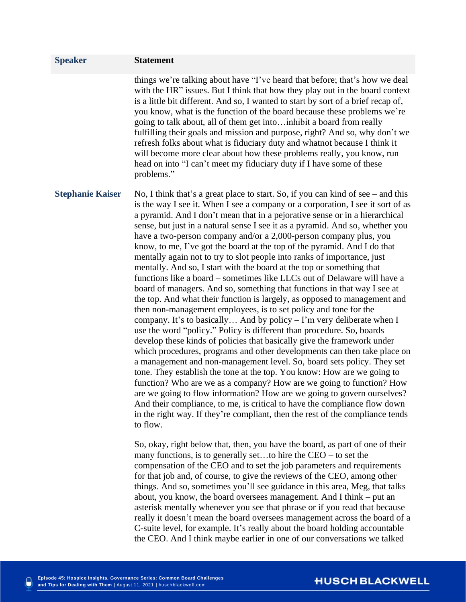| <b>Speaker</b>          | <b>Statement</b>                                                                                                                                                                                                                                                                                                                                                                                                                                                                                                                                                                                                                                                                                                                                                                                                                                                                                                                                                                                                                                                                                                                                                                                                                                                                                                                                                                                                                                                                                                                                                                                                                                                                                                                                                                                                                                                                                       |
|-------------------------|--------------------------------------------------------------------------------------------------------------------------------------------------------------------------------------------------------------------------------------------------------------------------------------------------------------------------------------------------------------------------------------------------------------------------------------------------------------------------------------------------------------------------------------------------------------------------------------------------------------------------------------------------------------------------------------------------------------------------------------------------------------------------------------------------------------------------------------------------------------------------------------------------------------------------------------------------------------------------------------------------------------------------------------------------------------------------------------------------------------------------------------------------------------------------------------------------------------------------------------------------------------------------------------------------------------------------------------------------------------------------------------------------------------------------------------------------------------------------------------------------------------------------------------------------------------------------------------------------------------------------------------------------------------------------------------------------------------------------------------------------------------------------------------------------------------------------------------------------------------------------------------------------------|
|                         | things we're talking about have "I've heard that before; that's how we deal<br>with the HR" issues. But I think that how they play out in the board context<br>is a little bit different. And so, I wanted to start by sort of a brief recap of,<br>you know, what is the function of the board because these problems we're<br>going to talk about, all of them get intoinhibit a board from really<br>fulfilling their goals and mission and purpose, right? And so, why don't we<br>refresh folks about what is fiduciary duty and whatnot because I think it<br>will become more clear about how these problems really, you know, run<br>head on into "I can't meet my fiduciary duty if I have some of these<br>problems."                                                                                                                                                                                                                                                                                                                                                                                                                                                                                                                                                                                                                                                                                                                                                                                                                                                                                                                                                                                                                                                                                                                                                                        |
| <b>Stephanie Kaiser</b> | No, I think that's a great place to start. So, if you can kind of see $-$ and this<br>is the way I see it. When I see a company or a corporation, I see it sort of as<br>a pyramid. And I don't mean that in a pejorative sense or in a hierarchical<br>sense, but just in a natural sense I see it as a pyramid. And so, whether you<br>have a two-person company and/or a 2,000-person company plus, you<br>know, to me, I've got the board at the top of the pyramid. And I do that<br>mentally again not to try to slot people into ranks of importance, just<br>mentally. And so, I start with the board at the top or something that<br>functions like a board – sometimes like LLCs out of Delaware will have a<br>board of managers. And so, something that functions in that way I see at<br>the top. And what their function is largely, as opposed to management and<br>then non-management employees, is to set policy and tone for the<br>company. It's to basically And by policy $-1$ 'm very deliberate when I<br>use the word "policy." Policy is different than procedure. So, boards<br>develop these kinds of policies that basically give the framework under<br>which procedures, programs and other developments can then take place on<br>a management and non-management level. So, board sets policy. They set<br>tone. They establish the tone at the top. You know: How are we going to<br>function? Who are we as a company? How are we going to function? How<br>are we going to flow information? How are we going to govern ourselves?<br>And their compliance, to me, is critical to have the compliance flow down<br>in the right way. If they're compliant, then the rest of the compliance tends<br>to flow.<br>So, okay, right below that, then, you have the board, as part of one of their<br>many functions, is to generally setto hire the $CEO -$ to set the |

many functions, is to generally set…to hire the CEO – to set the compensation of the CEO and to set the job parameters and requirements for that job and, of course, to give the reviews of the CEO, among other things. And so, sometimes you'll see guidance in this area, Meg, that talks about, you know, the board oversees management. And I think – put an asterisk mentally whenever you see that phrase or if you read that because really it doesn't mean the board oversees management across the board of a C-suite level, for example. It's really about the board holding accountable the CEO. And I think maybe earlier in one of our conversations we talked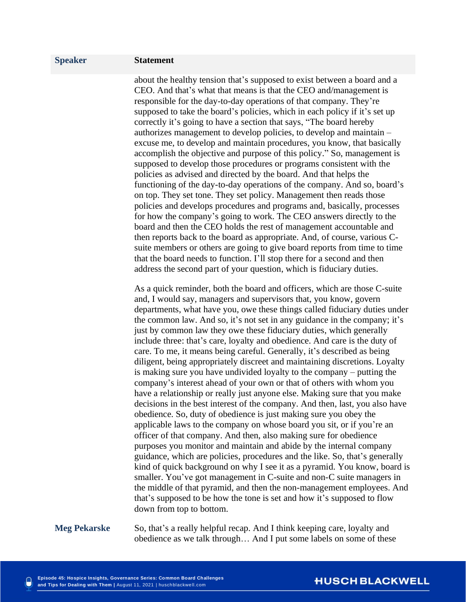about the healthy tension that's supposed to exist between a board and a CEO. And that's what that means is that the CEO and/management is responsible for the day-to-day operations of that company. They're supposed to take the board's policies, which in each policy if it's set up correctly it's going to have a section that says, "The board hereby authorizes management to develop policies, to develop and maintain – excuse me, to develop and maintain procedures, you know, that basically accomplish the objective and purpose of this policy." So, management is supposed to develop those procedures or programs consistent with the policies as advised and directed by the board. And that helps the functioning of the day-to-day operations of the company. And so, board's on top. They set tone. They set policy. Management then reads those policies and develops procedures and programs and, basically, processes for how the company's going to work. The CEO answers directly to the board and then the CEO holds the rest of management accountable and then reports back to the board as appropriate. And, of course, various Csuite members or others are going to give board reports from time to time that the board needs to function. I'll stop there for a second and then address the second part of your question, which is fiduciary duties.

As a quick reminder, both the board and officers, which are those C-suite and, I would say, managers and supervisors that, you know, govern departments, what have you, owe these things called fiduciary duties under the common law. And so, it's not set in any guidance in the company; it's just by common law they owe these fiduciary duties, which generally include three: that's care, loyalty and obedience. And care is the duty of care. To me, it means being careful. Generally, it's described as being diligent, being appropriately discreet and maintaining discretions. Loyalty is making sure you have undivided loyalty to the company – putting the company's interest ahead of your own or that of others with whom you have a relationship or really just anyone else. Making sure that you make decisions in the best interest of the company. And then, last, you also have obedience. So, duty of obedience is just making sure you obey the applicable laws to the company on whose board you sit, or if you're an officer of that company. And then, also making sure for obedience purposes you monitor and maintain and abide by the internal company guidance, which are policies, procedures and the like. So, that's generally kind of quick background on why I see it as a pyramid. You know, board is smaller. You've got management in C-suite and non-C suite managers in the middle of that pyramid, and then the non-management employees. And that's supposed to be how the tone is set and how it's supposed to flow down from top to bottom.

**Meg Pekarske** So, that's a really helpful recap. And I think keeping care, loyalty and obedience as we talk through… And I put some labels on some of these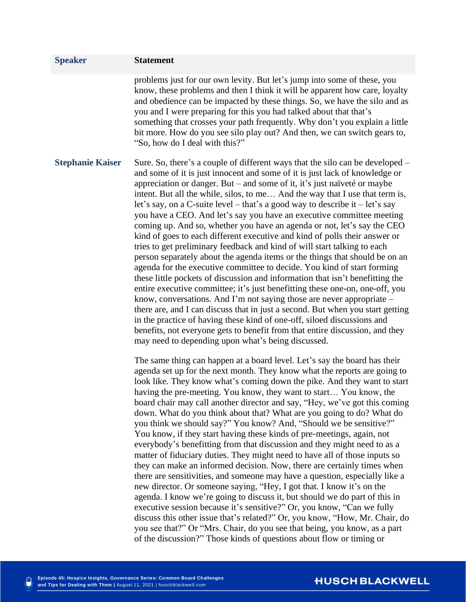| <b>Speaker</b>          | <b>Statement</b>                                                                                                                                                                                                                                                                                                                                                                                                                                                                                                                                                                                                                                                                                                                                                                                                                                                                                                                                                                                                                                                                                                                                                                                                                                                                                                                                                                                                                                                                                                                                                                                                                                                                                                                                                                                                                                                                                                                                                                                                                                                                                                                                                                                                                                                                                                                                                                                                                                                                                                                                                                                                                                                                                                                                                                                                                          |
|-------------------------|-------------------------------------------------------------------------------------------------------------------------------------------------------------------------------------------------------------------------------------------------------------------------------------------------------------------------------------------------------------------------------------------------------------------------------------------------------------------------------------------------------------------------------------------------------------------------------------------------------------------------------------------------------------------------------------------------------------------------------------------------------------------------------------------------------------------------------------------------------------------------------------------------------------------------------------------------------------------------------------------------------------------------------------------------------------------------------------------------------------------------------------------------------------------------------------------------------------------------------------------------------------------------------------------------------------------------------------------------------------------------------------------------------------------------------------------------------------------------------------------------------------------------------------------------------------------------------------------------------------------------------------------------------------------------------------------------------------------------------------------------------------------------------------------------------------------------------------------------------------------------------------------------------------------------------------------------------------------------------------------------------------------------------------------------------------------------------------------------------------------------------------------------------------------------------------------------------------------------------------------------------------------------------------------------------------------------------------------------------------------------------------------------------------------------------------------------------------------------------------------------------------------------------------------------------------------------------------------------------------------------------------------------------------------------------------------------------------------------------------------------------------------------------------------------------------------------------------------|
|                         | problems just for our own levity. But let's jump into some of these, you<br>know, these problems and then I think it will be apparent how care, loyalty<br>and obedience can be impacted by these things. So, we have the silo and as<br>you and I were preparing for this you had talked about that that's<br>something that crosses your path frequently. Why don't you explain a little<br>bit more. How do you see silo play out? And then, we can switch gears to,<br>"So, how do I deal with this?"                                                                                                                                                                                                                                                                                                                                                                                                                                                                                                                                                                                                                                                                                                                                                                                                                                                                                                                                                                                                                                                                                                                                                                                                                                                                                                                                                                                                                                                                                                                                                                                                                                                                                                                                                                                                                                                                                                                                                                                                                                                                                                                                                                                                                                                                                                                                 |
| <b>Stephanie Kaiser</b> | Sure. So, there's a couple of different ways that the silo can be developed –<br>and some of it is just innocent and some of it is just lack of knowledge or<br>appreciation or danger. But – and some of it, it's just naïveté or maybe<br>intent. But all the while, silos, to me And the way that I use that term is,<br>let's say, on a C-suite level – that's a good way to describe it – let's say<br>you have a CEO. And let's say you have an executive committee meeting<br>coming up. And so, whether you have an agenda or not, let's say the CEO<br>kind of goes to each different executive and kind of polls their answer or<br>tries to get preliminary feedback and kind of will start talking to each<br>person separately about the agenda items or the things that should be on an<br>agenda for the executive committee to decide. You kind of start forming<br>these little pockets of discussion and information that isn't benefitting the<br>entire executive committee; it's just benefitting these one-on, one-off, you<br>know, conversations. And I'm not saying those are never appropriate –<br>there are, and I can discuss that in just a second. But when you start getting<br>in the practice of having these kind of one-off, siloed discussions and<br>benefits, not everyone gets to benefit from that entire discussion, and they<br>may need to depending upon what's being discussed.<br>The same thing can happen at a board level. Let's say the board has their<br>agenda set up for the next month. They know what the reports are going to<br>look like. They know what's coming down the pike. And they want to start<br>having the pre-meeting. You know, they want to start You know, the<br>board chair may call another director and say, "Hey, we've got this coming<br>down. What do you think about that? What are you going to do? What do<br>you think we should say?" You know? And, "Should we be sensitive?"<br>You know, if they start having these kinds of pre-meetings, again, not<br>everybody's benefitting from that discussion and they might need to as a<br>matter of fiduciary duties. They might need to have all of those inputs so<br>they can make an informed decision. Now, there are certainly times when<br>there are sensitivities, and someone may have a question, especially like a<br>new director. Or someone saying, "Hey, I got that. I know it's on the<br>agenda. I know we're going to discuss it, but should we do part of this in<br>executive session because it's sensitive?" Or, you know, "Can we fully<br>discuss this other issue that's related?" Or, you know, "How, Mr. Chair, do<br>you see that?" Or "Mrs. Chair, do you see that being, you know, as a part<br>of the discussion?" Those kinds of questions about flow or timing or |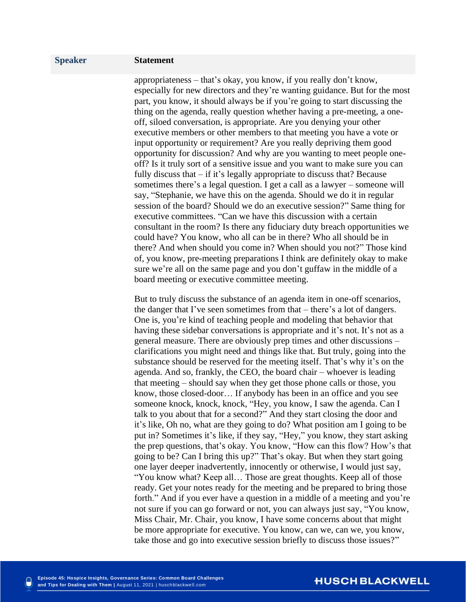appropriateness – that's okay, you know, if you really don't know, especially for new directors and they're wanting guidance. But for the most part, you know, it should always be if you're going to start discussing the thing on the agenda, really question whether having a pre-meeting, a oneoff, siloed conversation, is appropriate. Are you denying your other executive members or other members to that meeting you have a vote or input opportunity or requirement? Are you really depriving them good opportunity for discussion? And why are you wanting to meet people oneoff? Is it truly sort of a sensitive issue and you want to make sure you can fully discuss that – if it's legally appropriate to discuss that? Because sometimes there's a legal question. I get a call as a lawyer – someone will say, "Stephanie, we have this on the agenda. Should we do it in regular session of the board? Should we do an executive session?" Same thing for executive committees. "Can we have this discussion with a certain consultant in the room? Is there any fiduciary duty breach opportunities we could have? You know, who all can be in there? Who all should be in there? And when should you come in? When should you not?" Those kind of, you know, pre-meeting preparations I think are definitely okay to make sure we're all on the same page and you don't guffaw in the middle of a board meeting or executive committee meeting.

But to truly discuss the substance of an agenda item in one-off scenarios, the danger that I've seen sometimes from that – there's a lot of dangers. One is, you're kind of teaching people and modeling that behavior that having these sidebar conversations is appropriate and it's not. It's not as a general measure. There are obviously prep times and other discussions – clarifications you might need and things like that. But truly, going into the substance should be reserved for the meeting itself. That's why it's on the agenda. And so, frankly, the CEO, the board chair – whoever is leading that meeting – should say when they get those phone calls or those, you know, those closed-door… If anybody has been in an office and you see someone knock, knock, knock, "Hey, you know, I saw the agenda. Can I talk to you about that for a second?" And they start closing the door and it's like, Oh no, what are they going to do? What position am I going to be put in? Sometimes it's like, if they say, "Hey," you know, they start asking the prep questions, that's okay. You know, "How can this flow? How's that going to be? Can I bring this up?" That's okay. But when they start going one layer deeper inadvertently, innocently or otherwise, I would just say, "You know what? Keep all… Those are great thoughts. Keep all of those ready. Get your notes ready for the meeting and be prepared to bring those forth." And if you ever have a question in a middle of a meeting and you're not sure if you can go forward or not, you can always just say, "You know, Miss Chair, Mr. Chair, you know, I have some concerns about that might be more appropriate for executive. You know, can we, can we, you know, take those and go into executive session briefly to discuss those issues?"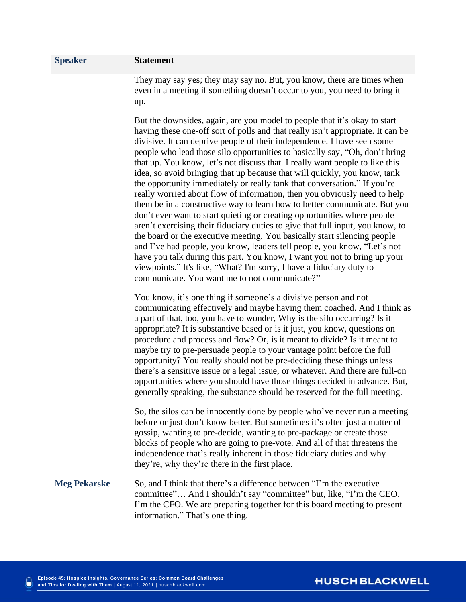They may say yes; they may say no. But, you know, there are times when even in a meeting if something doesn't occur to you, you need to bring it up.

But the downsides, again, are you model to people that it's okay to start having these one-off sort of polls and that really isn't appropriate. It can be divisive. It can deprive people of their independence. I have seen some people who lead those silo opportunities to basically say, "Oh, don't bring that up. You know, let's not discuss that. I really want people to like this idea, so avoid bringing that up because that will quickly, you know, tank the opportunity immediately or really tank that conversation." If you're really worried about flow of information, then you obviously need to help them be in a constructive way to learn how to better communicate. But you don't ever want to start quieting or creating opportunities where people aren't exercising their fiduciary duties to give that full input, you know, to the board or the executive meeting. You basically start silencing people and I've had people, you know, leaders tell people, you know, "Let's not have you talk during this part. You know, I want you not to bring up your viewpoints." It's like, "What? I'm sorry, I have a fiduciary duty to communicate. You want me to not communicate?"

You know, it's one thing if someone's a divisive person and not communicating effectively and maybe having them coached. And I think as a part of that, too, you have to wonder, Why is the silo occurring? Is it appropriate? It is substantive based or is it just, you know, questions on procedure and process and flow? Or, is it meant to divide? Is it meant to maybe try to pre-persuade people to your vantage point before the full opportunity? You really should not be pre-deciding these things unless there's a sensitive issue or a legal issue, or whatever. And there are full-on opportunities where you should have those things decided in advance. But, generally speaking, the substance should be reserved for the full meeting.

So, the silos can be innocently done by people who've never run a meeting before or just don't know better. But sometimes it's often just a matter of gossip, wanting to pre-decide, wanting to pre-package or create those blocks of people who are going to pre-vote. And all of that threatens the independence that's really inherent in those fiduciary duties and why they're, why they're there in the first place.

## **Meg Pekarske** So, and I think that there's a difference between "I'm the executive committee"… And I shouldn't say "committee" but, like, "I'm the CEO. I'm the CFO. We are preparing together for this board meeting to present information." That's one thing.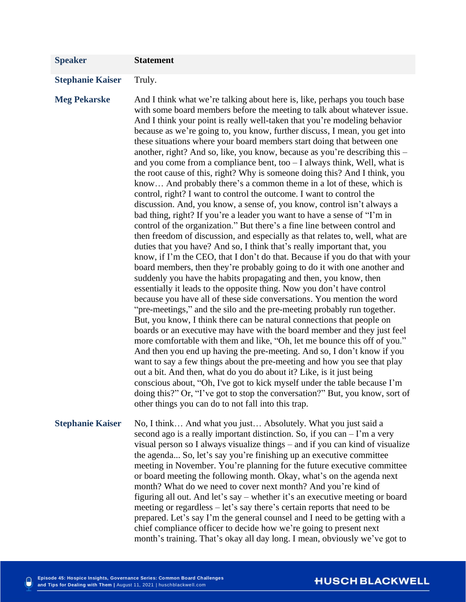| <b>Speaker</b>          | <b>Statement</b>                                                                                                                                                                                                                                                                                                                                                                                                                                                                                                                                                                                                                                                                                                                                                                                                                                                                                                                                                                                                                                                                                                                                                                                                                                                                                                                                                                                                                                                                                                                                                                                                                                                                                                                                                                                                                                                                                                                                                                                                                                                                                                                                                                                                                                                                                                                             |
|-------------------------|----------------------------------------------------------------------------------------------------------------------------------------------------------------------------------------------------------------------------------------------------------------------------------------------------------------------------------------------------------------------------------------------------------------------------------------------------------------------------------------------------------------------------------------------------------------------------------------------------------------------------------------------------------------------------------------------------------------------------------------------------------------------------------------------------------------------------------------------------------------------------------------------------------------------------------------------------------------------------------------------------------------------------------------------------------------------------------------------------------------------------------------------------------------------------------------------------------------------------------------------------------------------------------------------------------------------------------------------------------------------------------------------------------------------------------------------------------------------------------------------------------------------------------------------------------------------------------------------------------------------------------------------------------------------------------------------------------------------------------------------------------------------------------------------------------------------------------------------------------------------------------------------------------------------------------------------------------------------------------------------------------------------------------------------------------------------------------------------------------------------------------------------------------------------------------------------------------------------------------------------------------------------------------------------------------------------------------------------|
|                         |                                                                                                                                                                                                                                                                                                                                                                                                                                                                                                                                                                                                                                                                                                                                                                                                                                                                                                                                                                                                                                                                                                                                                                                                                                                                                                                                                                                                                                                                                                                                                                                                                                                                                                                                                                                                                                                                                                                                                                                                                                                                                                                                                                                                                                                                                                                                              |
| <b>Stephanie Kaiser</b> | Truly.                                                                                                                                                                                                                                                                                                                                                                                                                                                                                                                                                                                                                                                                                                                                                                                                                                                                                                                                                                                                                                                                                                                                                                                                                                                                                                                                                                                                                                                                                                                                                                                                                                                                                                                                                                                                                                                                                                                                                                                                                                                                                                                                                                                                                                                                                                                                       |
| <b>Meg Pekarske</b>     | And I think what we're talking about here is, like, perhaps you touch base<br>with some board members before the meeting to talk about whatever issue.<br>And I think your point is really well-taken that you're modeling behavior<br>because as we're going to, you know, further discuss, I mean, you get into<br>these situations where your board members start doing that between one<br>another, right? And so, like, you know, because as you're describing this –<br>and you come from a compliance bent, too $- I$ always think, Well, what is<br>the root cause of this, right? Why is someone doing this? And I think, you<br>know And probably there's a common theme in a lot of these, which is<br>control, right? I want to control the outcome. I want to control the<br>discussion. And, you know, a sense of, you know, control isn't always a<br>bad thing, right? If you're a leader you want to have a sense of "I'm in<br>control of the organization." But there's a fine line between control and<br>then freedom of discussion, and especially as that relates to, well, what are<br>duties that you have? And so, I think that's really important that, you<br>know, if I'm the CEO, that I don't do that. Because if you do that with your<br>board members, then they're probably going to do it with one another and<br>suddenly you have the habits propagating and then, you know, then<br>essentially it leads to the opposite thing. Now you don't have control<br>because you have all of these side conversations. You mention the word<br>"pre-meetings," and the silo and the pre-meeting probably run together.<br>But, you know, I think there can be natural connections that people on<br>boards or an executive may have with the board member and they just feel<br>more comfortable with them and like, "Oh, let me bounce this off of you."<br>And then you end up having the pre-meeting. And so, I don't know if you<br>want to say a few things about the pre-meeting and how you see that play<br>out a bit. And then, what do you do about it? Like, is it just being<br>conscious about, "Oh, I've got to kick myself under the table because I'm<br>doing this?" Or, "I've got to stop the conversation?" But, you know, sort of<br>other things you can do to not fall into this trap. |
| <b>Stephanie Kaiser</b> | No, I think And what you just Absolutely. What you just said a<br>second ago is a really important distinction. So, if you can – I'm a very<br>visual person so I always visualize things – and if you can kind of visualize<br>the agenda So, let's say you're finishing up an executive committee<br>meeting in November. You're planning for the future executive committee<br>or board meeting the following month. Okay, what's on the agenda next<br>month? What do we need to cover next month? And you're kind of<br>figuring all out. And let's say – whether it's an executive meeting or board<br>meeting or regardless – let's say there's certain reports that need to be<br>prepared. Let's say I'm the general counsel and I need to be getting with a<br>chief compliance officer to decide how we're going to present next<br>month's training. That's okay all day long. I mean, obviously we've got to                                                                                                                                                                                                                                                                                                                                                                                                                                                                                                                                                                                                                                                                                                                                                                                                                                                                                                                                                                                                                                                                                                                                                                                                                                                                                                                                                                                                                    |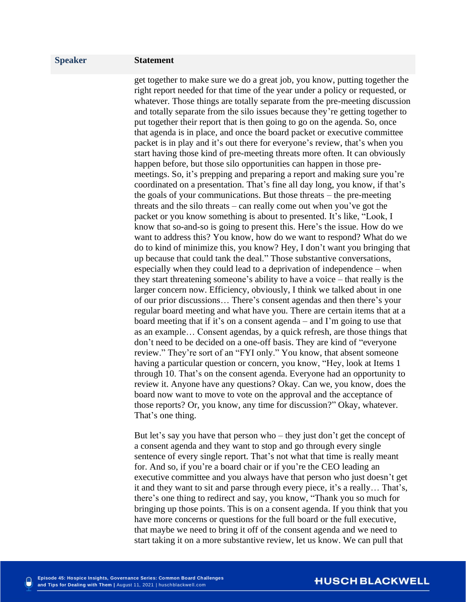get together to make sure we do a great job, you know, putting together the right report needed for that time of the year under a policy or requested, or whatever. Those things are totally separate from the pre-meeting discussion and totally separate from the silo issues because they're getting together to put together their report that is then going to go on the agenda. So, once that agenda is in place, and once the board packet or executive committee packet is in play and it's out there for everyone's review, that's when you start having those kind of pre-meeting threats more often. It can obviously happen before, but those silo opportunities can happen in those premeetings. So, it's prepping and preparing a report and making sure you're coordinated on a presentation. That's fine all day long, you know, if that's the goals of your communications. But those threats – the pre-meeting threats and the silo threats – can really come out when you've got the packet or you know something is about to presented. It's like, "Look, I know that so-and-so is going to present this. Here's the issue. How do we want to address this? You know, how do we want to respond? What do we do to kind of minimize this, you know? Hey, I don't want you bringing that up because that could tank the deal." Those substantive conversations, especially when they could lead to a deprivation of independence – when they start threatening someone's ability to have a voice – that really is the larger concern now. Efficiency, obviously, I think we talked about in one of our prior discussions… There's consent agendas and then there's your regular board meeting and what have you. There are certain items that at a board meeting that if it's on a consent agenda – and I'm going to use that as an example… Consent agendas, by a quick refresh, are those things that don't need to be decided on a one-off basis. They are kind of "everyone review." They're sort of an "FYI only." You know, that absent someone having a particular question or concern, you know, "Hey, look at Items 1 through 10. That's on the consent agenda. Everyone had an opportunity to review it. Anyone have any questions? Okay. Can we, you know, does the board now want to move to vote on the approval and the acceptance of those reports? Or, you know, any time for discussion?" Okay, whatever. That's one thing.

But let's say you have that person who – they just don't get the concept of a consent agenda and they want to stop and go through every single sentence of every single report. That's not what that time is really meant for. And so, if you're a board chair or if you're the CEO leading an executive committee and you always have that person who just doesn't get it and they want to sit and parse through every piece, it's a really… That's, there's one thing to redirect and say, you know, "Thank you so much for bringing up those points. This is on a consent agenda. If you think that you have more concerns or questions for the full board or the full executive, that maybe we need to bring it off of the consent agenda and we need to start taking it on a more substantive review, let us know. We can pull that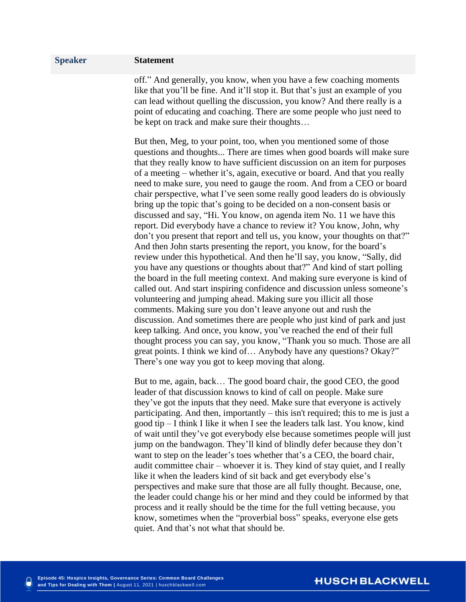off." And generally, you know, when you have a few coaching moments like that you'll be fine. And it'll stop it. But that's just an example of you can lead without quelling the discussion, you know? And there really is a point of educating and coaching. There are some people who just need to be kept on track and make sure their thoughts…

But then, Meg, to your point, too, when you mentioned some of those questions and thoughts... There are times when good boards will make sure that they really know to have sufficient discussion on an item for purposes of a meeting – whether it's, again, executive or board. And that you really need to make sure, you need to gauge the room. And from a CEO or board chair perspective, what I've seen some really good leaders do is obviously bring up the topic that's going to be decided on a non-consent basis or discussed and say, "Hi. You know, on agenda item No. 11 we have this report. Did everybody have a chance to review it? You know, John, why don't you present that report and tell us, you know, your thoughts on that?" And then John starts presenting the report, you know, for the board's review under this hypothetical. And then he'll say, you know, "Sally, did you have any questions or thoughts about that?" And kind of start polling the board in the full meeting context. And making sure everyone is kind of called out. And start inspiring confidence and discussion unless someone's volunteering and jumping ahead. Making sure you illicit all those comments. Making sure you don't leave anyone out and rush the discussion. And sometimes there are people who just kind of park and just keep talking. And once, you know, you've reached the end of their full thought process you can say, you know, "Thank you so much. Those are all great points. I think we kind of… Anybody have any questions? Okay?" There's one way you got to keep moving that along.

But to me, again, back… The good board chair, the good CEO, the good leader of that discussion knows to kind of call on people. Make sure they've got the inputs that they need. Make sure that everyone is actively participating. And then, importantly – this isn't required; this to me is just a good tip – I think I like it when I see the leaders talk last. You know, kind of wait until they've got everybody else because sometimes people will just jump on the bandwagon. They'll kind of blindly defer because they don't want to step on the leader's toes whether that's a CEO, the board chair, audit committee chair – whoever it is. They kind of stay quiet, and I really like it when the leaders kind of sit back and get everybody else's perspectives and make sure that those are all fully thought. Because, one, the leader could change his or her mind and they could be informed by that process and it really should be the time for the full vetting because, you know, sometimes when the "proverbial boss" speaks, everyone else gets quiet. And that's not what that should be.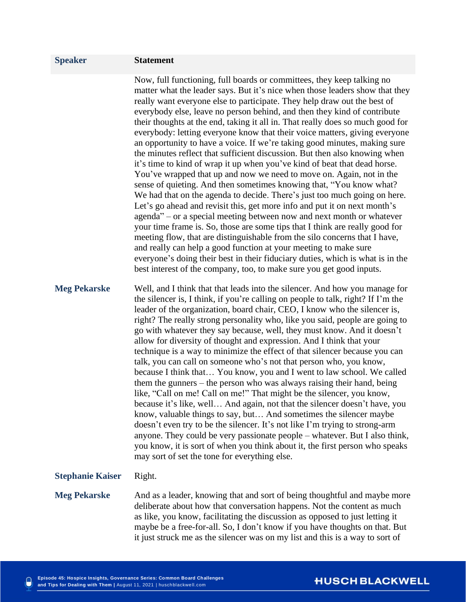Now, full functioning, full boards or committees, they keep talking no matter what the leader says. But it's nice when those leaders show that they really want everyone else to participate. They help draw out the best of everybody else, leave no person behind, and then they kind of contribute their thoughts at the end, taking it all in. That really does so much good for everybody: letting everyone know that their voice matters, giving everyone an opportunity to have a voice. If we're taking good minutes, making sure the minutes reflect that sufficient discussion. But then also knowing when it's time to kind of wrap it up when you've kind of beat that dead horse. You've wrapped that up and now we need to move on. Again, not in the sense of quieting. And then sometimes knowing that, "You know what? We had that on the agenda to decide. There's just too much going on here. Let's go ahead and revisit this, get more info and put it on next month's agenda" – or a special meeting between now and next month or whatever your time frame is. So, those are some tips that I think are really good for meeting flow, that are distinguishable from the silo concerns that I have, and really can help a good function at your meeting to make sure everyone's doing their best in their fiduciary duties, which is what is in the best interest of the company, too, to make sure you get good inputs.

**Meg Pekarske** Well, and I think that that leads into the silencer. And how you manage for the silencer is, I think, if you're calling on people to talk, right? If I'm the leader of the organization, board chair, CEO, I know who the silencer is, right? The really strong personality who, like you said, people are going to go with whatever they say because, well, they must know. And it doesn't allow for diversity of thought and expression. And I think that your technique is a way to minimize the effect of that silencer because you can talk, you can call on someone who's not that person who, you know, because I think that… You know, you and I went to law school. We called them the gunners – the person who was always raising their hand, being like, "Call on me! Call on me!" That might be the silencer, you know, because it's like, well… And again, not that the silencer doesn't have, you know, valuable things to say, but… And sometimes the silencer maybe doesn't even try to be the silencer. It's not like I'm trying to strong-arm anyone. They could be very passionate people – whatever. But I also think, you know, it is sort of when you think about it, the first person who speaks may sort of set the tone for everything else.

#### **Stephanie Kaiser** Right.

**Meg Pekarske** And as a leader, knowing that and sort of being thoughtful and maybe more deliberate about how that conversation happens. Not the content as much as like, you know, facilitating the discussion as opposed to just letting it maybe be a free-for-all. So, I don't know if you have thoughts on that. But it just struck me as the silencer was on my list and this is a way to sort of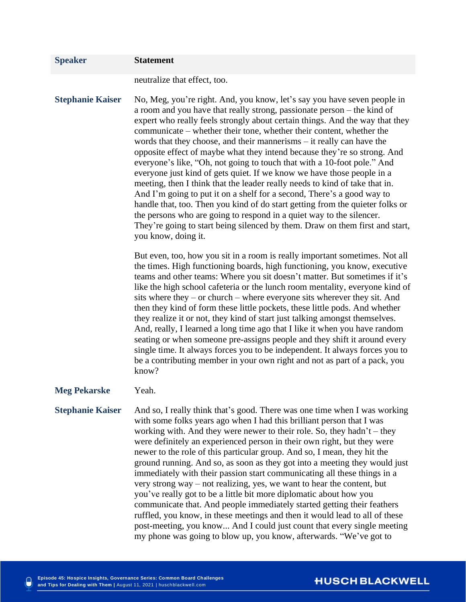| <b>Speaker</b>          | <b>Statement</b>                                                                                                                                                                                                                                                                                                                                                                                                                                                                                                                                                                                                                                                                                                                                                                                                                                                                                                                                                                                                                               |
|-------------------------|------------------------------------------------------------------------------------------------------------------------------------------------------------------------------------------------------------------------------------------------------------------------------------------------------------------------------------------------------------------------------------------------------------------------------------------------------------------------------------------------------------------------------------------------------------------------------------------------------------------------------------------------------------------------------------------------------------------------------------------------------------------------------------------------------------------------------------------------------------------------------------------------------------------------------------------------------------------------------------------------------------------------------------------------|
|                         | neutralize that effect, too.                                                                                                                                                                                                                                                                                                                                                                                                                                                                                                                                                                                                                                                                                                                                                                                                                                                                                                                                                                                                                   |
| <b>Stephanie Kaiser</b> | No, Meg, you're right. And, you know, let's say you have seven people in<br>a room and you have that really strong, passionate person - the kind of<br>expert who really feels strongly about certain things. And the way that they<br>communicate – whether their tone, whether their content, whether the<br>words that they choose, and their mannerisms – it really can have the<br>opposite effect of maybe what they intend because they're so strong. And<br>everyone's like, "Oh, not going to touch that with a 10-foot pole." And<br>everyone just kind of gets quiet. If we know we have those people in a<br>meeting, then I think that the leader really needs to kind of take that in.<br>And I'm going to put it on a shelf for a second, There's a good way to<br>handle that, too. Then you kind of do start getting from the quieter folks or<br>the persons who are going to respond in a quiet way to the silencer.<br>They're going to start being silenced by them. Draw on them first and start,<br>you know, doing it. |
|                         | But even, too, how you sit in a room is really important sometimes. Not all<br>the times. High functioning boards, high functioning, you know, executive<br>teams and other teams: Where you sit doesn't matter. But sometimes if it's<br>like the high school cafeteria or the lunch room mentality, everyone kind of<br>sits where they $-$ or church $-$ where everyone sits wherever they sit. And<br>then they kind of form these little pockets, these little pods. And whether<br>they realize it or not, they kind of start just talking amongst themselves.<br>And, really, I learned a long time ago that I like it when you have random<br>seating or when someone pre-assigns people and they shift it around every<br>single time. It always forces you to be independent. It always forces you to<br>be a contributing member in your own right and not as part of a pack, you<br>know?                                                                                                                                          |
| <b>Meg Pekarske</b>     | Yeah.                                                                                                                                                                                                                                                                                                                                                                                                                                                                                                                                                                                                                                                                                                                                                                                                                                                                                                                                                                                                                                          |
| <b>Stephanie Kaiser</b> | And so, I really think that's good. There was one time when I was working<br>with some folks years ago when I had this brilliant person that I was<br>working with. And they were newer to their role. So, they hadn't – they<br>were definitely an experienced person in their own right, but they were<br>newer to the role of this particular group. And so, I mean, they hit the<br>ground running. And so, as soon as they got into a meeting they would just<br>immediately with their passion start communicating all these things in a<br>very strong way – not realizing, yes, we want to hear the content, but<br>you've really got to be a little bit more diplomatic about how you<br>communicate that. And people immediately started getting their feathers<br>ruffled, you know, in these meetings and then it would lead to all of these<br>post-meeting, you know And I could just count that every single meeting<br>my phone was going to blow up, you know, afterwards. "We've got to                                      |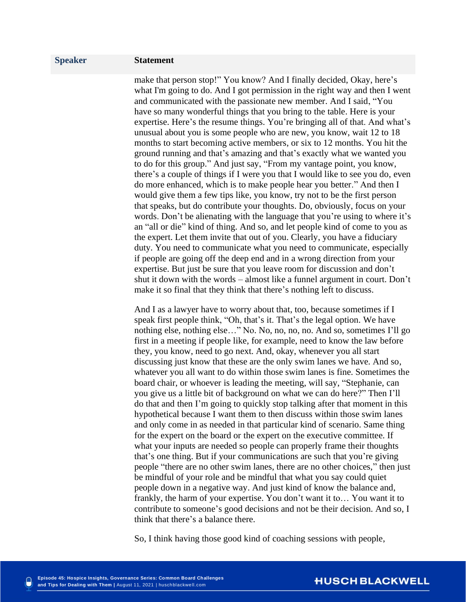make that person stop!" You know? And I finally decided, Okay, here's what I'm going to do. And I got permission in the right way and then I went and communicated with the passionate new member. And I said, "You have so many wonderful things that you bring to the table. Here is your expertise. Here's the resume things. You're bringing all of that. And what's unusual about you is some people who are new, you know, wait 12 to 18 months to start becoming active members, or six to 12 months. You hit the ground running and that's amazing and that's exactly what we wanted you to do for this group." And just say, "From my vantage point, you know, there's a couple of things if I were you that I would like to see you do, even do more enhanced, which is to make people hear you better." And then I would give them a few tips like, you know, try not to be the first person that speaks, but do contribute your thoughts. Do, obviously, focus on your words. Don't be alienating with the language that you're using to where it's an "all or die" kind of thing. And so, and let people kind of come to you as the expert. Let them invite that out of you. Clearly, you have a fiduciary duty. You need to communicate what you need to communicate, especially if people are going off the deep end and in a wrong direction from your expertise. But just be sure that you leave room for discussion and don't shut it down with the words – almost like a funnel argument in court. Don't make it so final that they think that there's nothing left to discuss.

And I as a lawyer have to worry about that, too, because sometimes if I speak first people think, "Oh, that's it. That's the legal option. We have nothing else, nothing else…" No. No, no, no, no. And so, sometimes I'll go first in a meeting if people like, for example, need to know the law before they, you know, need to go next. And, okay, whenever you all start discussing just know that these are the only swim lanes we have. And so, whatever you all want to do within those swim lanes is fine. Sometimes the board chair, or whoever is leading the meeting, will say, "Stephanie, can you give us a little bit of background on what we can do here?" Then I'll do that and then I'm going to quickly stop talking after that moment in this hypothetical because I want them to then discuss within those swim lanes and only come in as needed in that particular kind of scenario. Same thing for the expert on the board or the expert on the executive committee. If what your inputs are needed so people can properly frame their thoughts that's one thing. But if your communications are such that you're giving people "there are no other swim lanes, there are no other choices," then just be mindful of your role and be mindful that what you say could quiet people down in a negative way. And just kind of know the balance and, frankly, the harm of your expertise. You don't want it to… You want it to contribute to someone's good decisions and not be their decision. And so, I think that there's a balance there.

So, I think having those good kind of coaching sessions with people,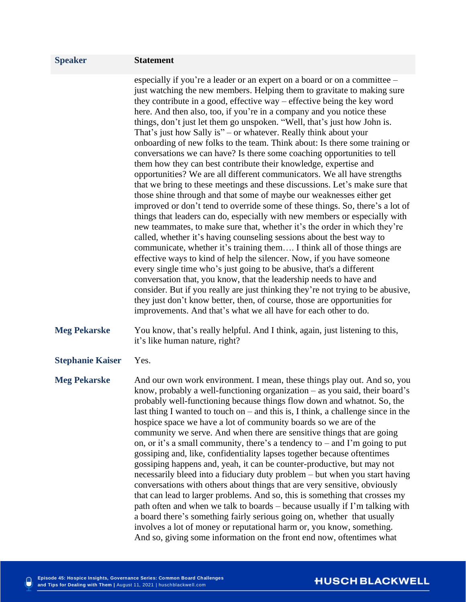especially if you're a leader or an expert on a board or on a committee – just watching the new members. Helping them to gravitate to making sure they contribute in a good, effective way – effective being the key word here. And then also, too, if you're in a company and you notice these things, don't just let them go unspoken. "Well, that's just how John is. That's just how Sally is" – or whatever. Really think about your onboarding of new folks to the team. Think about: Is there some training or conversations we can have? Is there some coaching opportunities to tell them how they can best contribute their knowledge, expertise and opportunities? We are all different communicators. We all have strengths that we bring to these meetings and these discussions. Let's make sure that those shine through and that some of maybe our weaknesses either get improved or don't tend to override some of these things. So, there's a lot of things that leaders can do, especially with new members or especially with new teammates, to make sure that, whether it's the order in which they're called, whether it's having counseling sessions about the best way to communicate, whether it's training them…. I think all of those things are effective ways to kind of help the silencer. Now, if you have someone every single time who's just going to be abusive, that's a different conversation that, you know, that the leadership needs to have and consider. But if you really are just thinking they're not trying to be abusive, they just don't know better, then, of course, those are opportunities for improvements. And that's what we all have for each other to do.

- **Meg Pekarske** You know, that's really helpful. And I think, again, just listening to this, it's like human nature, right?
- **Stephanie Kaiser** Yes.

**Meg Pekarske** And our own work environment. I mean, these things play out. And so, you know, probably a well-functioning organization – as you said, their board's probably well-functioning because things flow down and whatnot. So, the last thing I wanted to touch on – and this is, I think, a challenge since in the hospice space we have a lot of community boards so we are of the community we serve. And when there are sensitive things that are going on, or it's a small community, there's a tendency to – and I'm going to put gossiping and, like, confidentiality lapses together because oftentimes gossiping happens and, yeah, it can be counter-productive, but may not necessarily bleed into a fiduciary duty problem – but when you start having conversations with others about things that are very sensitive, obviously that can lead to larger problems. And so, this is something that crosses my path often and when we talk to boards – because usually if I'm talking with a board there's something fairly serious going on, whether that usually involves a lot of money or reputational harm or, you know, something. And so, giving some information on the front end now, oftentimes what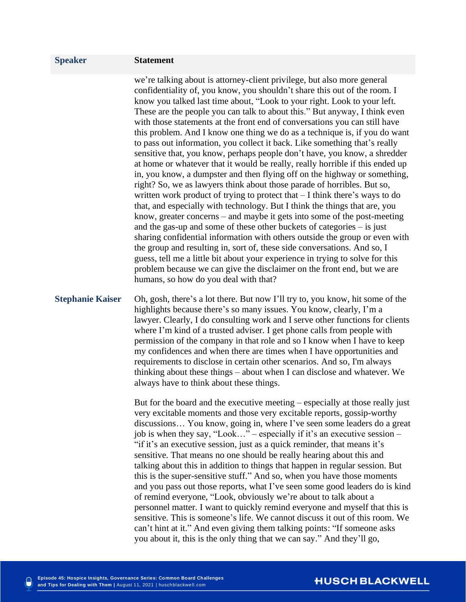we're talking about is attorney-client privilege, but also more general confidentiality of, you know, you shouldn't share this out of the room. I know you talked last time about, "Look to your right. Look to your left. These are the people you can talk to about this." But anyway, I think even with those statements at the front end of conversations you can still have this problem. And I know one thing we do as a technique is, if you do want to pass out information, you collect it back. Like something that's really sensitive that, you know, perhaps people don't have, you know, a shredder at home or whatever that it would be really, really horrible if this ended up in, you know, a dumpster and then flying off on the highway or something, right? So, we as lawyers think about those parade of horribles. But so, written work product of trying to protect that – I think there's ways to do that, and especially with technology. But I think the things that are, you know, greater concerns – and maybe it gets into some of the post-meeting and the gas-up and some of these other buckets of categories – is just sharing confidential information with others outside the group or even with the group and resulting in, sort of, these side conversations. And so, I guess, tell me a little bit about your experience in trying to solve for this problem because we can give the disclaimer on the front end, but we are humans, so how do you deal with that?

**Stephanie Kaiser** Oh, gosh, there's a lot there. But now I'll try to, you know, hit some of the highlights because there's so many issues. You know, clearly, I'm a lawyer. Clearly, I do consulting work and I serve other functions for clients where I'm kind of a trusted adviser. I get phone calls from people with permission of the company in that role and so I know when I have to keep my confidences and when there are times when I have opportunities and requirements to disclose in certain other scenarios. And so, I'm always thinking about these things – about when I can disclose and whatever. We always have to think about these things.

> But for the board and the executive meeting – especially at those really just very excitable moments and those very excitable reports, gossip-worthy discussions… You know, going in, where I've seen some leaders do a great job is when they say, "Look…" – especially if it's an executive session – "if it's an executive session, just as a quick reminder, that means it's sensitive. That means no one should be really hearing about this and talking about this in addition to things that happen in regular session. But this is the super-sensitive stuff." And so, when you have those moments and you pass out those reports, what I've seen some good leaders do is kind of remind everyone, "Look, obviously we're about to talk about a personnel matter. I want to quickly remind everyone and myself that this is sensitive. This is someone's life. We cannot discuss it out of this room. We can't hint at it." And even giving them talking points: "If someone asks you about it, this is the only thing that we can say." And they'll go,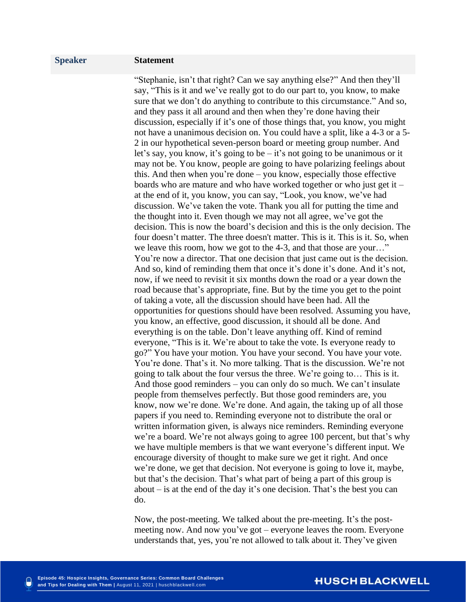"Stephanie, isn't that right? Can we say anything else?" And then they'll say, "This is it and we've really got to do our part to, you know, to make sure that we don't do anything to contribute to this circumstance." And so, and they pass it all around and then when they're done having their discussion, especially if it's one of those things that, you know, you might not have a unanimous decision on. You could have a split, like a 4-3 or a 5- 2 in our hypothetical seven-person board or meeting group number. And let's say, you know, it's going to be – it's not going to be unanimous or it may not be. You know, people are going to have polarizing feelings about this. And then when you're done – you know, especially those effective boards who are mature and who have worked together or who just get it  $$ at the end of it, you know, you can say, "Look, you know, we've had discussion. We've taken the vote. Thank you all for putting the time and the thought into it. Even though we may not all agree, we've got the decision. This is now the board's decision and this is the only decision. The four doesn't matter. The three doesn't matter. This is it. This is it. So, when we leave this room, how we got to the 4-3, and that those are your…" You're now a director. That one decision that just came out is the decision. And so, kind of reminding them that once it's done it's done. And it's not, now, if we need to revisit it six months down the road or a year down the road because that's appropriate, fine. But by the time you get to the point of taking a vote, all the discussion should have been had. All the opportunities for questions should have been resolved. Assuming you have, you know, an effective, good discussion, it should all be done. And everything is on the table. Don't leave anything off. Kind of remind everyone, "This is it. We're about to take the vote. Is everyone ready to go?" You have your motion. You have your second. You have your vote. You're done. That's it. No more talking. That is the discussion. We're not going to talk about the four versus the three. We're going to… This is it. And those good reminders – you can only do so much. We can't insulate people from themselves perfectly. But those good reminders are, you know, now we're done. We're done. And again, the taking up of all those papers if you need to. Reminding everyone not to distribute the oral or written information given, is always nice reminders. Reminding everyone we're a board. We're not always going to agree 100 percent, but that's why we have multiple members is that we want everyone's different input. We encourage diversity of thought to make sure we get it right. And once we're done, we get that decision. Not everyone is going to love it, maybe, but that's the decision. That's what part of being a part of this group is about – is at the end of the day it's one decision. That's the best you can do.

Now, the post-meeting. We talked about the pre-meeting. It's the postmeeting now. And now you've got – everyone leaves the room. Everyone understands that, yes, you're not allowed to talk about it. They've given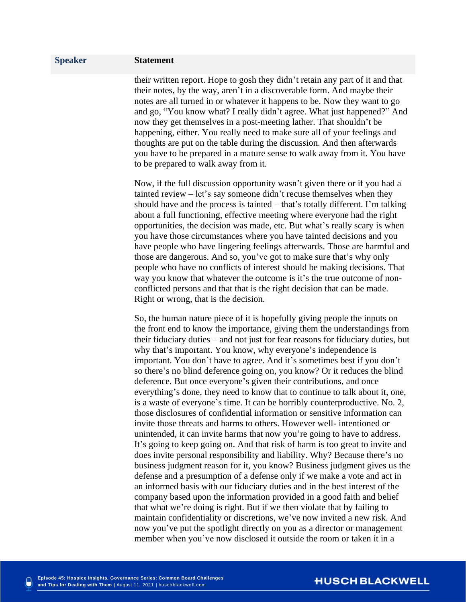their written report. Hope to gosh they didn't retain any part of it and that their notes, by the way, aren't in a discoverable form. And maybe their notes are all turned in or whatever it happens to be. Now they want to go and go, "You know what? I really didn't agree. What just happened?" And now they get themselves in a post-meeting lather. That shouldn't be happening, either. You really need to make sure all of your feelings and thoughts are put on the table during the discussion. And then afterwards you have to be prepared in a mature sense to walk away from it. You have to be prepared to walk away from it.

Now, if the full discussion opportunity wasn't given there or if you had a tainted review – let's say someone didn't recuse themselves when they should have and the process is tainted – that's totally different. I'm talking about a full functioning, effective meeting where everyone had the right opportunities, the decision was made, etc. But what's really scary is when you have those circumstances where you have tainted decisions and you have people who have lingering feelings afterwards. Those are harmful and those are dangerous. And so, you've got to make sure that's why only people who have no conflicts of interest should be making decisions. That way you know that whatever the outcome is it's the true outcome of nonconflicted persons and that that is the right decision that can be made. Right or wrong, that is the decision.

So, the human nature piece of it is hopefully giving people the inputs on the front end to know the importance, giving them the understandings from their fiduciary duties – and not just for fear reasons for fiduciary duties, but why that's important. You know, why everyone's independence is important. You don't have to agree. And it's sometimes best if you don't so there's no blind deference going on, you know? Or it reduces the blind deference. But once everyone's given their contributions, and once everything's done, they need to know that to continue to talk about it, one, is a waste of everyone's time. It can be horribly counterproductive. No. 2, those disclosures of confidential information or sensitive information can invite those threats and harms to others. However well- intentioned or unintended, it can invite harms that now you're going to have to address. It's going to keep going on. And that risk of harm is too great to invite and does invite personal responsibility and liability. Why? Because there's no business judgment reason for it, you know? Business judgment gives us the defense and a presumption of a defense only if we make a vote and act in an informed basis with our fiduciary duties and in the best interest of the company based upon the information provided in a good faith and belief that what we're doing is right. But if we then violate that by failing to maintain confidentiality or discretions, we've now invited a new risk. And now you've put the spotlight directly on you as a director or management member when you've now disclosed it outside the room or taken it in a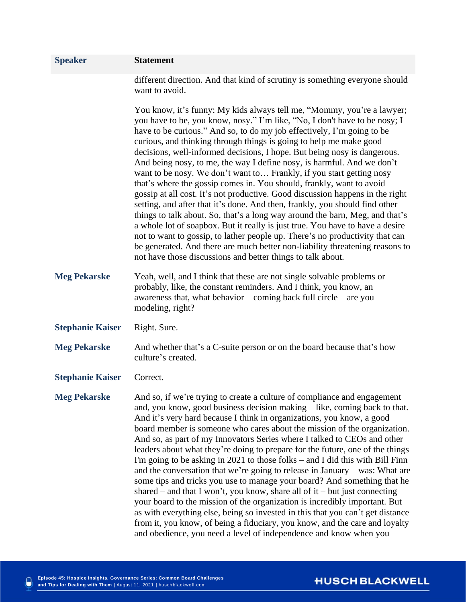| <b>Speaker</b>          | <b>Statement</b>                                                                                                                                                                                                                                                                                                                                                                                                                                                                                                                                                                                                                                                                                                                                                                                                                                                                                                                                                                                                                                                                                                                                                           |
|-------------------------|----------------------------------------------------------------------------------------------------------------------------------------------------------------------------------------------------------------------------------------------------------------------------------------------------------------------------------------------------------------------------------------------------------------------------------------------------------------------------------------------------------------------------------------------------------------------------------------------------------------------------------------------------------------------------------------------------------------------------------------------------------------------------------------------------------------------------------------------------------------------------------------------------------------------------------------------------------------------------------------------------------------------------------------------------------------------------------------------------------------------------------------------------------------------------|
|                         | different direction. And that kind of scrutiny is something everyone should<br>want to avoid.                                                                                                                                                                                                                                                                                                                                                                                                                                                                                                                                                                                                                                                                                                                                                                                                                                                                                                                                                                                                                                                                              |
|                         | You know, it's funny: My kids always tell me, "Mommy, you're a lawyer;<br>you have to be, you know, nosy." I'm like, "No, I don't have to be nosy; I<br>have to be curious." And so, to do my job effectively, I'm going to be<br>curious, and thinking through things is going to help me make good<br>decisions, well-informed decisions, I hope. But being nosy is dangerous.<br>And being nosy, to me, the way I define nosy, is harmful. And we don't<br>want to be nosy. We don't want to Frankly, if you start getting nosy<br>that's where the gossip comes in. You should, frankly, want to avoid<br>gossip at all cost. It's not productive. Good discussion happens in the right<br>setting, and after that it's done. And then, frankly, you should find other<br>things to talk about. So, that's a long way around the barn, Meg, and that's<br>a whole lot of soapbox. But it really is just true. You have to have a desire<br>not to want to gossip, to lather people up. There's no productivity that can<br>be generated. And there are much better non-liability threatening reasons to<br>not have those discussions and better things to talk about. |
| <b>Meg Pekarske</b>     | Yeah, well, and I think that these are not single solvable problems or<br>probably, like, the constant reminders. And I think, you know, an<br>awareness that, what behavior – coming back full circle – are you<br>modeling, right?                                                                                                                                                                                                                                                                                                                                                                                                                                                                                                                                                                                                                                                                                                                                                                                                                                                                                                                                       |
| <b>Stephanie Kaiser</b> | Right. Sure.                                                                                                                                                                                                                                                                                                                                                                                                                                                                                                                                                                                                                                                                                                                                                                                                                                                                                                                                                                                                                                                                                                                                                               |
| <b>Meg Pekarske</b>     | And whether that's a C-suite person or on the board because that's how<br>culture's created.                                                                                                                                                                                                                                                                                                                                                                                                                                                                                                                                                                                                                                                                                                                                                                                                                                                                                                                                                                                                                                                                               |
| <b>Stephanie Kaiser</b> | Correct.                                                                                                                                                                                                                                                                                                                                                                                                                                                                                                                                                                                                                                                                                                                                                                                                                                                                                                                                                                                                                                                                                                                                                                   |
| <b>Meg Pekarske</b>     | And so, if we're trying to create a culture of compliance and engagement<br>and, you know, good business decision making – like, coming back to that.<br>And it's very hard because I think in organizations, you know, a good<br>board member is someone who cares about the mission of the organization.<br>And so, as part of my Innovators Series where I talked to CEOs and other<br>leaders about what they're doing to prepare for the future, one of the things<br>I'm going to be asking in $2021$ to those folks – and I did this with Bill Finn<br>and the conversation that we're going to release in January – was: What are<br>some tips and tricks you use to manage your board? And something that he<br>shared – and that I won't, you know, share all of it – but just connecting<br>your board to the mission of the organization is incredibly important. But<br>as with everything else, being so invested in this that you can't get distance<br>from it, you know, of being a fiduciary, you know, and the care and loyalty<br>and obedience, you need a level of independence and know when you                                                    |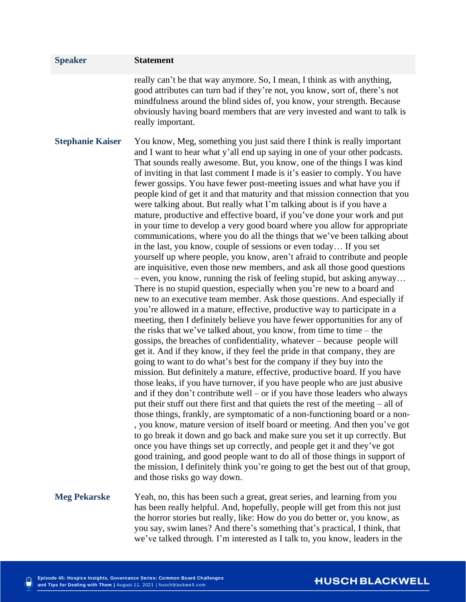| <b>Speaker</b>          | <b>Statement</b>                                                                                                                                                                                                                                                                                                                                                                                                                                                                                                                                                                                                                                                                                                                                                                                                                                                                                                                                                                                                                                                                                                                                                                                                                                                                                                                                                                                                                                                                                                                                                                                                                                                                                                                                                                                                                                                                                                                                                                                                                                                                                                                                                                                                                                                                                                                                                                                                                                                                                                                                                                              |
|-------------------------|-----------------------------------------------------------------------------------------------------------------------------------------------------------------------------------------------------------------------------------------------------------------------------------------------------------------------------------------------------------------------------------------------------------------------------------------------------------------------------------------------------------------------------------------------------------------------------------------------------------------------------------------------------------------------------------------------------------------------------------------------------------------------------------------------------------------------------------------------------------------------------------------------------------------------------------------------------------------------------------------------------------------------------------------------------------------------------------------------------------------------------------------------------------------------------------------------------------------------------------------------------------------------------------------------------------------------------------------------------------------------------------------------------------------------------------------------------------------------------------------------------------------------------------------------------------------------------------------------------------------------------------------------------------------------------------------------------------------------------------------------------------------------------------------------------------------------------------------------------------------------------------------------------------------------------------------------------------------------------------------------------------------------------------------------------------------------------------------------------------------------------------------------------------------------------------------------------------------------------------------------------------------------------------------------------------------------------------------------------------------------------------------------------------------------------------------------------------------------------------------------------------------------------------------------------------------------------------------------|
|                         | really can't be that way anymore. So, I mean, I think as with anything,<br>good attributes can turn bad if they're not, you know, sort of, there's not<br>mindfulness around the blind sides of, you know, your strength. Because<br>obviously having board members that are very invested and want to talk is<br>really important.                                                                                                                                                                                                                                                                                                                                                                                                                                                                                                                                                                                                                                                                                                                                                                                                                                                                                                                                                                                                                                                                                                                                                                                                                                                                                                                                                                                                                                                                                                                                                                                                                                                                                                                                                                                                                                                                                                                                                                                                                                                                                                                                                                                                                                                           |
| <b>Stephanie Kaiser</b> | You know, Meg, something you just said there I think is really important<br>and I want to hear what y'all end up saying in one of your other podcasts.<br>That sounds really awesome. But, you know, one of the things I was kind<br>of inviting in that last comment I made is it's easier to comply. You have<br>fewer gossips. You have fewer post-meeting issues and what have you if<br>people kind of get it and that maturity and that mission connection that you<br>were talking about. But really what I'm talking about is if you have a<br>mature, productive and effective board, if you've done your work and put<br>in your time to develop a very good board where you allow for appropriate<br>communications, where you do all the things that we've been talking about<br>in the last, you know, couple of sessions or even today If you set<br>yourself up where people, you know, aren't afraid to contribute and people<br>are inquisitive, even those new members, and ask all those good questions<br>$-$ even, you know, running the risk of feeling stupid, but asking anyway<br>There is no stupid question, especially when you're new to a board and<br>new to an executive team member. Ask those questions. And especially if<br>you're allowed in a mature, effective, productive way to participate in a<br>meeting, then I definitely believe you have fewer opportunities for any of<br>the risks that we've talked about, you know, from time to time $-$ the<br>gossips, the breaches of confidentiality, whatever – because people will<br>get it. And if they know, if they feel the pride in that company, they are<br>going to want to do what's best for the company if they buy into the<br>mission. But definitely a mature, effective, productive board. If you have<br>those leaks, if you have turnover, if you have people who are just abusive<br>and if they don't contribute well – or if you have those leaders who always<br>put their stuff out there first and that quiets the rest of the meeting $-$ all of<br>those things, frankly, are symptomatic of a non-functioning board or a non-<br>, you know, mature version of itself board or meeting. And then you've got<br>to go break it down and go back and make sure you set it up correctly. But<br>once you have things set up correctly, and people get it and they've got<br>good training, and good people want to do all of those things in support of<br>the mission, I definitely think you're going to get the best out of that group,<br>and those risks go way down. |
| <b>Meg Pekarske</b>     | Yeah, no, this has been such a great, great series, and learning from you<br>has been really helpful. And, hopefully, people will get from this not just<br>the horror stories but really, like: How do you do better or, you know, as                                                                                                                                                                                                                                                                                                                                                                                                                                                                                                                                                                                                                                                                                                                                                                                                                                                                                                                                                                                                                                                                                                                                                                                                                                                                                                                                                                                                                                                                                                                                                                                                                                                                                                                                                                                                                                                                                                                                                                                                                                                                                                                                                                                                                                                                                                                                                        |

you say, swim lanes? And there's something that's practical, I think, that we've talked through. I'm interested as I talk to, you know, leaders in the